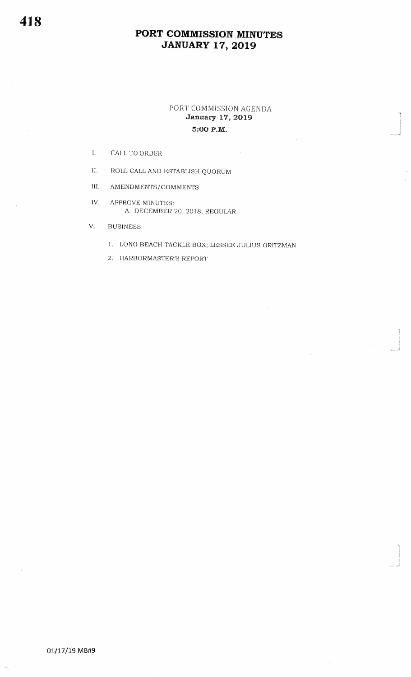## PORT COMMISSION AGENDA January 17, 2019 5:OO P.M.

- I. CALL TO ORDER
- II. ROLL CALL AND ESTABLISH QUORUM
- III. AMENDMENTS/COMMENTS
- IV. APPROVE MINUTES:A. DFCEMBER 20, 2018; REGULAR
- V. BUSINESS:
	- 1. LONG BEACH TACKLE BOX; LESSED JULIUS GRITZMAN

.<br>Jacques de la

.<br>Manazarta<br>J

2. HARBORMASTER'S REPORT

h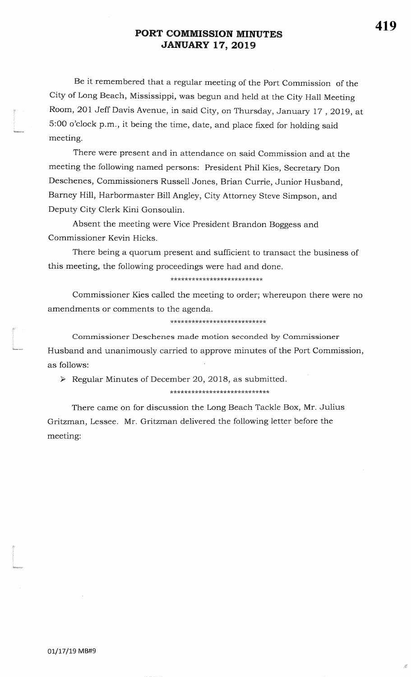Be it remembered that a regular meeting of the Port Commission of the City of Long Beach, Mississippi, was begun and held at the City Hall MeetingRoom, 201 Jeff Davis Avenue, in said City, on Thursday, January 17 , 2019, at 5:00 o'clock p.m., it being the time, date, and place fixed for holding saidmeeting.

There were present and in attendance on said Commission and at themeeting the following named persons: President Phil Kies, Secretary Don Deschenes, Commissioners Russell Jones, Brian Currie, Junior Husband,Barney Hill, Harbormaster Bill Angley, City Attorney steve Simpson, andDeputy City Clerk Kini Gonsoulin.

Absent the meeting were Vice President Brandon Boggess andCommissioner Kevin Hicks.

There being a quorum present and sufficient to transact the business ofthis meeting, the following proceedings were had and done.

### \*\*\*\*\*\*\*\*\*\*\*\*\*\*\*\*\*\*\*\*\*\*\*\*\*\*

Commissioner Kies called the meeting to order; whereupon there were noamendments or comments to the agenda.

### \*\* rk\*\*\*\*\*\*\*\* \*r< tr\*:k\*\*\*\*\*\*\*\*\*\*\*

Commissioner Deschenes made motion seconded by CommissionerHusband and unanimously carried to approve minutes of the Port Commission,as follows:

 $\triangleright$  Regular Minutes of December 20, 2018, as submitted.

\*\*\*\*\*\*\*\*\*\*\*\*\*\*\*\*\*\*\*\*\*\*\*\*\*\*\*\*

There came on for discussion the Long Beach Tackle Box, Mr. Julius Gritzman, Lessee. Mr. Gritzman delivered the following letter before the meeting:

,€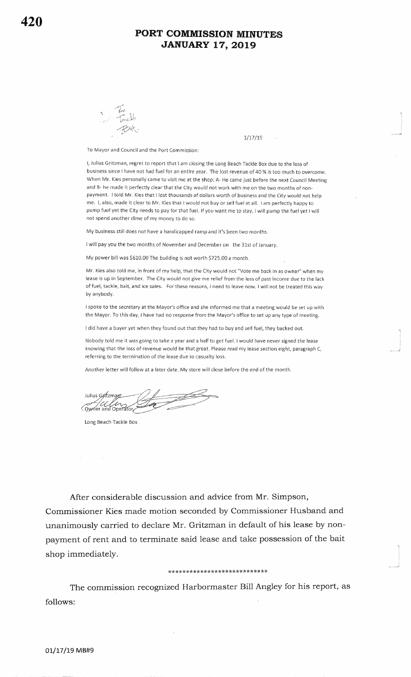$1/17/19$ 

To Mayor and Council and the Port Commission:

I, Julius Gritzman, regret to report that I am closing the Long Beach Tackle Box due to the loss of business since I have not had fuel for an entire year. The lost revenue of 40 % is too much to overcome. When Mr. Kies personally came to visit me at the shop: A-He came just before the next Council Meeting and B- he made it perfectly clear that the City would not work with me on the two months of nonpayment. I told Mr. Kies that I lost thousands of dollars worth of business and the City would not help me. I, also, made it clear to Mr. Kies that I would not buy or sell fuel at all. I am perfectly happy to pump fuel yet the City needs to pay for that fuel. If you want me to stay, I will pump the fuel yet I will not spend another dime of my money to do so.

My business still does not have a handicapped ramp and it's been two months.

I will pay you the two months of November and December on the 31st of January.

My power bill was \$610.00 The building is not worth \$725.00 a month.

Mr. Kies also told me, in front of my help, that the City would not "Vote me back in as owner" when my lease is up in September. The City would not give me relief from the loss of past income due to the lack of fuel, tackle, bait, and ice sales. For these reasons, I need to leave now. I will not be treated this way by anybody.

I spoke to the secretary at the Mayor's office and she informed me that a meeting would be set up with the Mayor. To this day, I have had no response from the Mayor's office to set up any type of meeting.

I did have a buyer yet when they found out that they had to buy and sell fuel, they backed out.

Nobody told me it was going to take a year and a half to get fuel. I would have never signed the lease knowing that the loss of revenue would be that great. Please read my lease section eight, paragraph C, referring to the termination of the lease due to casualty loss.

Another letter will follow at a later date. My store will close before the end of the month.

Julius Guttzmarz Owner and Operator

Long Beach Tackle Box

After considerable discussion and advice from Mr. Simpson, Commissioner Kies made motion seconded by Commissioner Husband and unanimously carried to declare Mr. Gritzman in default of his lease by nonpayment of rent and to terminate said lease and take possession of the bait shop immediately.

#### \*\*\*\*\*\*\*\*\*\*\*\*\*\*\*\*\*\*\*\*\*\*\*\*\*\*\*\*

The commission recognized Harbormaster Bill Angley for his report, as follows: